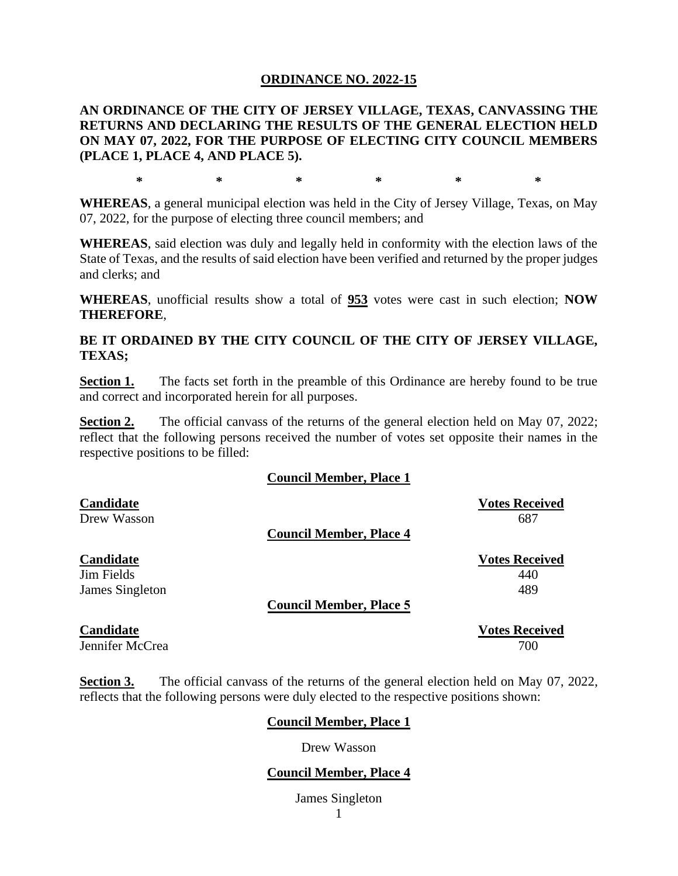#### **ORDINANCE NO. 2022-15**

**AN ORDINANCE OF THE CITY OF JERSEY VILLAGE, TEXAS, CANVASSING THE RETURNS AND DECLARING THE RESULTS OF THE GENERAL ELECTION HELD ON MAY 07, 2022, FOR THE PURPOSE OF ELECTING CITY COUNCIL MEMBERS (PLACE 1, PLACE 4, AND PLACE 5).**

**\* \* \* \* \* \***

**WHEREAS**, a general municipal election was held in the City of Jersey Village, Texas, on May 07, 2022, for the purpose of electing three council members; and

**WHEREAS**, said election was duly and legally held in conformity with the election laws of the State of Texas, and the results of said election have been verified and returned by the proper judges and clerks; and

**WHEREAS**, unofficial results show a total of **953** votes were cast in such election; **NOW THEREFORE**,

**BE IT ORDAINED BY THE CITY COUNCIL OF THE CITY OF JERSEY VILLAGE, TEXAS;**

**Section 1.** The facts set forth in the preamble of this Ordinance are hereby found to be true and correct and incorporated herein for all purposes.

**Section 2.** The official canvass of the returns of the general election held on May 07, 2022; reflect that the following persons received the number of votes set opposite their names in the respective positions to be filled:

#### **Council Member, Place 1**

| Candidate        | <b>Votes Received</b>          |
|------------------|--------------------------------|
| Drew Wasson      | 687                            |
|                  | <b>Council Member, Place 4</b> |
| <b>Candidate</b> | <b>Votes Received</b>          |
| Jim Fields       | 440                            |
| James Singleton  | 489                            |
|                  | <b>Council Member, Place 5</b> |
| <b>Candidate</b> | <b>Votes Received</b>          |

# Jennifer McCrea 2000 700 and 2000 700 and 2000 700  $\mu$

**Section 3.** The official canvass of the returns of the general election held on May 07, 2022, reflects that the following persons were duly elected to the respective positions shown:

#### **Council Member, Place 1**

Drew Wasson

#### **Council Member, Place 4**

James Singleton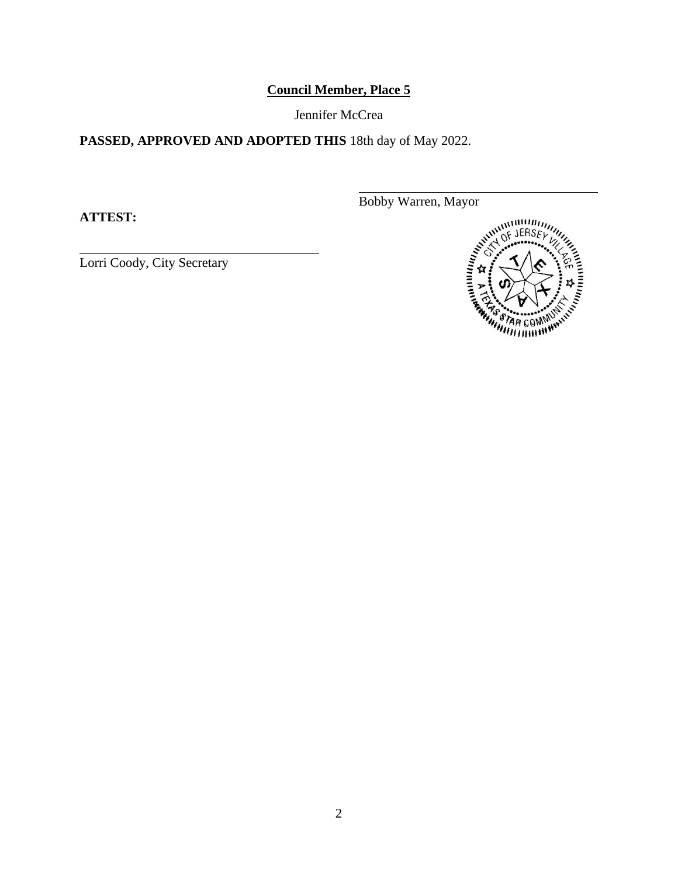## **Council Member, Place 5**

Jennifer McCrea

## **PASSED, APPROVED AND ADOPTED THIS** 18th day of May 2022.

**ATTEST:**

Lorri Coody, City Secretary

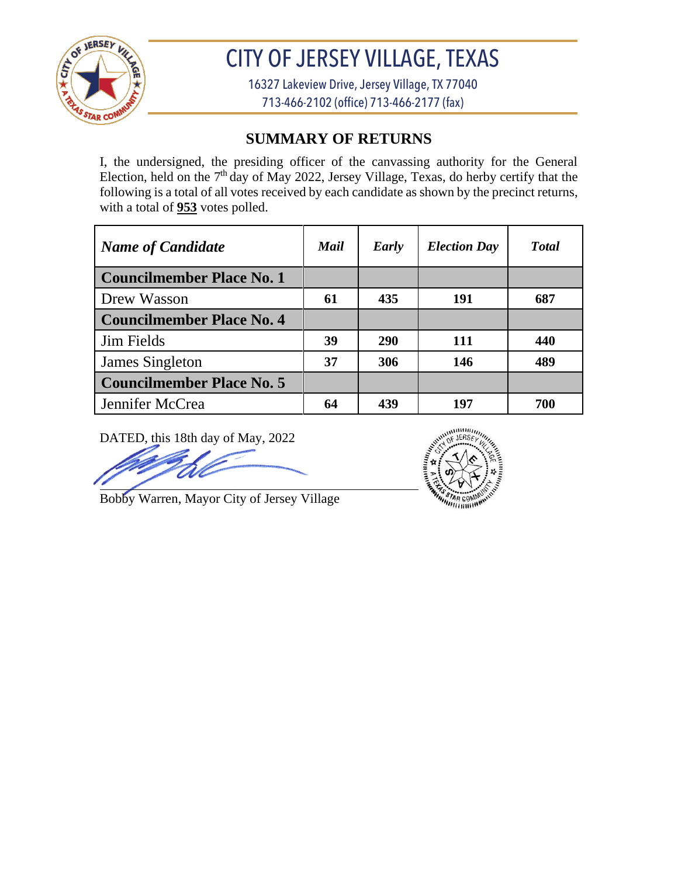

# CITY OF JERSEY VILLAGE, TEXAS

16327 Lakeview Drive, Jersey Village, TX 77040 713-466-2102 (office) 713-466-2177 (fax)

## **SUMMARY OF RETURNS**

I, the undersigned, the presiding officer of the canvassing authority for the General Election, held on the  $7<sup>th</sup>$  day of May 2022, Jersey Village, Texas, do herby certify that the following is a total of all votes received by each candidate as shown by the precinct returns, with a total of **953** votes polled.

| <b>Name of Candidate</b>         | Mail | Early      | <b>Election Day</b> | <b>T</b> otal |
|----------------------------------|------|------------|---------------------|---------------|
| <b>Councilmember Place No. 1</b> |      |            |                     |               |
| Drew Wasson                      | 61   | 435        | 191                 | 687           |
| <b>Councilmember Place No. 4</b> |      |            |                     |               |
| <b>Jim Fields</b>                | 39   | <b>290</b> | 111                 | 440           |
| James Singleton                  | 37   | 306        | 146                 | 489           |
| <b>Councilmember Place No. 5</b> |      |            |                     |               |
| Jennifer McCrea                  | 64   | 439        | 197                 | 700           |

DATED, this 18th day of May, 2022

 $m\nu\mu$ 

Bobby Warren, Mayor City of Jersey Village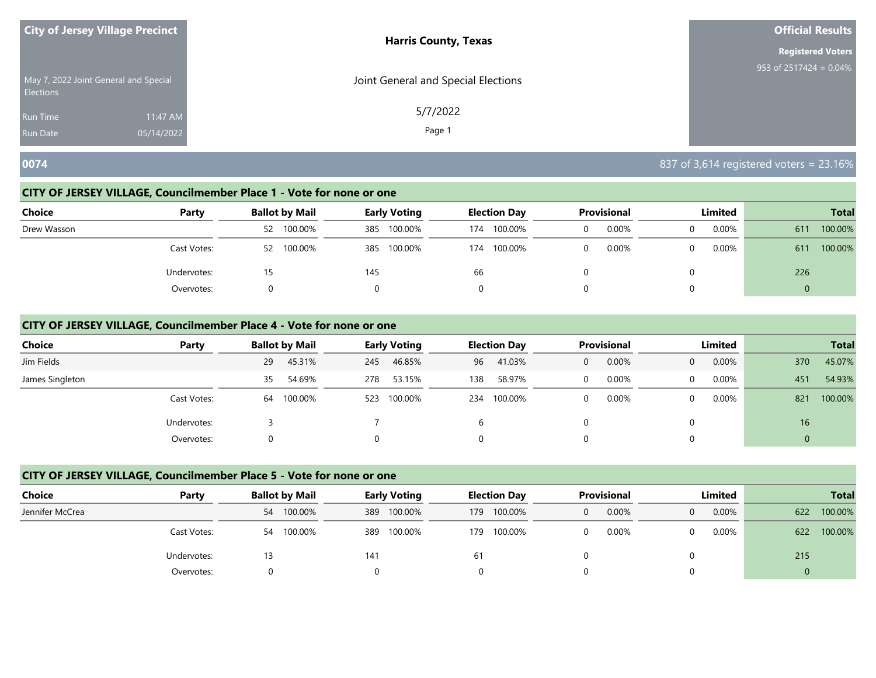|                                                           | City of Jersey Village Precinct | <b>Harris County, Texas</b>         | <b>Official Results</b>   |
|-----------------------------------------------------------|---------------------------------|-------------------------------------|---------------------------|
|                                                           |                                 | <b>Registered Voters</b>            |                           |
| May 7, 2022 Joint General and Special<br><b>Elections</b> |                                 | Joint General and Special Elections | 953 of 2517424 = $0.04\%$ |
| <b>Run Time</b>                                           | 11:47 AM                        | 5/7/2022                            |                           |
| <b>Run Date</b>                                           | 05/14/2022                      | Page 1                              |                           |

## **0074** 837 of 3,614 registered voters = 23.16%

## **CITY OF JERSEY VILLAGE, Councilmember Place 1 - Vote for none or one**

| Choice      | Party       | <b>Ballot by Mail</b> | <b>Early Voting</b> | <b>Election Day</b> | Provisional | Limited  | <b>Total</b>   |
|-------------|-------------|-----------------------|---------------------|---------------------|-------------|----------|----------------|
| Drew Wasson |             | 100.00%<br>52         | 100.00%<br>385      | 100.00%<br>174      | 0.00%       | $0.00\%$ | 100.00%<br>611 |
|             | Cast Votes: | 100.00%<br>52         | 100.00%<br>385      | 100.00%<br>174      | 0.00%       | $0.00\%$ | 100.00%<br>611 |
|             | Undervotes: | 15                    | 145                 | 66                  |             |          | 226            |
|             | Overvotes:  | 0                     |                     |                     |             |          | $\overline{0}$ |

## **CITY OF JERSEY VILLAGE, Councilmember Place 4 - Vote for none or one**

| <b>Choice</b>   | Party       | <b>Ballot by Mail</b> | <b>Early Voting</b> | <b>Election Day</b> | <b>Provisional</b>    | <b>Limited</b>        | <b>Total</b>   |
|-----------------|-------------|-----------------------|---------------------|---------------------|-----------------------|-----------------------|----------------|
| Jim Fields      |             | 45.31%<br>29          | 46.85%<br>245       | 41.03%<br>96        | 0.00%<br>$\mathbf{0}$ | 0.00%<br>$\mathbf{0}$ | 45.07%<br>370  |
| James Singleton |             | 54.69%<br>35          | 53.15%<br>278       | 58.97%<br>138       | 0.00%<br>0            | 0.00%<br>$\Omega$     | 54.93%<br>451  |
|                 | Cast Votes: | 100.00%<br>64         | 100.00%<br>523      | 100.00%<br>234      | $0.00\%$<br>$\Omega$  | $0.00\%$<br>$\Omega$  | 100.00%<br>821 |
|                 | Undervotes: |                       |                     | b                   | 0                     | 0                     | 16             |
|                 | Overvotes:  |                       |                     |                     | 0                     | 0                     | 0              |

| <b>Choice</b>   | Party       | <b>Ballot by Mail</b> | <b>Early Voting</b> | <b>Election Day</b> | <b>Provisional</b> | Limited           | <b>Total</b>   |
|-----------------|-------------|-----------------------|---------------------|---------------------|--------------------|-------------------|----------------|
| Jennifer McCrea |             | 54 100.00%            | 100.00%<br>389      | 100.00%<br>179      | $0.00\%$<br>0      | 0.00%<br>$\Omega$ | 100.00%<br>622 |
|                 | Cast Votes: | 54 100.00%            | 100.00%<br>389      | 100.00%<br>179      | $0.00\%$           | 0.00%<br>0        | 100.00%<br>622 |
|                 | Undervotes: |                       | 141                 | 61                  |                    |                   | 215            |
|                 | Overvotes:  |                       |                     |                     |                    |                   |                |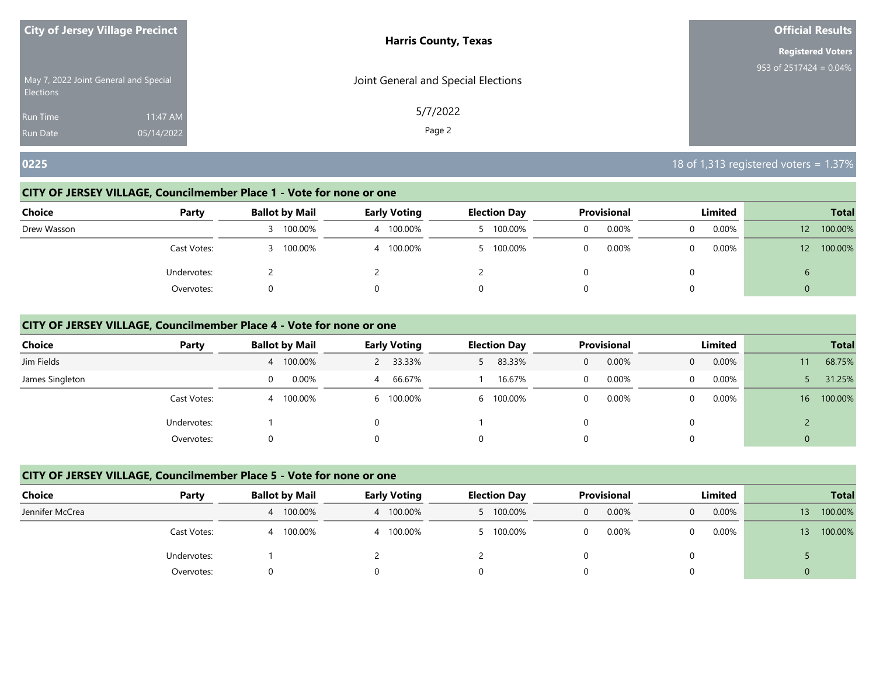| <b>City of Jersey Village Precinct</b>                    |            | <b>Harris County, Texas</b>         | <b>Official Results</b>   |
|-----------------------------------------------------------|------------|-------------------------------------|---------------------------|
|                                                           |            |                                     | <b>Registered Voters</b>  |
| May 7, 2022 Joint General and Special<br><b>Elections</b> |            | Joint General and Special Elections | 953 of $2517424 = 0.04\%$ |
| <b>Run Time</b>                                           | 11:47 AM   | 5/7/2022                            |                           |
| <b>Run Date</b>                                           | 05/14/2022 | Page 2                              |                           |

## **0225** 18 of 1,313 registered voters = 1.37%

## **CITY OF JERSEY VILLAGE, Councilmember Place 1 - Vote for none or one**

| <b>Choice</b> | Party       | <b>Ballot by Mail</b> | <b>Early Voting</b> | <b>Election Day</b> | Provisional | Limited       | <b>Total</b>               |
|---------------|-------------|-----------------------|---------------------|---------------------|-------------|---------------|----------------------------|
| Drew Wasson   |             | 100.00%               | 100.00%             | 100.00%             | $0.00\%$    | $0.00\%$<br>0 | 100.00%<br>12              |
|               | Cast Votes: | 100.00%               | 100.00%             | 100.00%             | 0.00%       | $0.00\%$<br>0 | 100.00%<br>12 <sup>°</sup> |
|               | Undervotes: |                       |                     |                     |             | 0             | O                          |
|               | Overvotes:  |                       |                     |                     |             | $\Omega$      | U                          |

## **CITY OF JERSEY VILLAGE, Councilmember Place 4 - Vote for none or one**

| <b>Choice</b>   | Party       | <b>Ballot by Mail</b> | <b>Early Voting</b> | <b>Election Day</b> | Provisional | Limited           | <b>Total</b>               |
|-----------------|-------------|-----------------------|---------------------|---------------------|-------------|-------------------|----------------------------|
| Jim Fields      |             | 100.00%               | 2 33.33%            | 83.33%              | 0.00%<br>0  | 0.00%<br>0        | 68.75%<br>11               |
| James Singleton |             | 0.00%                 | 66.67%<br>4         | 16.67%              | $0.00\%$    | 0.00%<br>$\Omega$ | 31.25%                     |
|                 | Cast Votes: | 100.00%               | 6 100.00%           | 100.00%<br>6        | 0.00%       | $0.00\%$          | 100.00%<br>16 <sup>1</sup> |
|                 | Undervotes: |                       |                     |                     |             |                   |                            |
|                 | Overvotes:  |                       |                     |                     |             |                   | 0                          |

| <b>Choice</b>   | Party       | <b>Ballot by Mail</b> | <b>Early Voting</b> | <b>Election Day</b> | Provisional | Limited  | <b>Total</b>               |
|-----------------|-------------|-----------------------|---------------------|---------------------|-------------|----------|----------------------------|
| Jennifer McCrea |             | 4 100.00%             | 4 100.00%           | 5 100.00%           | 0.00%<br>0  | 0.00%    | 100.00%<br>13.             |
|                 | Cast Votes: | 100.00%<br>4          | 100.00%<br>4        | 100.00%             | 0.00%       | $0.00\%$ | 100.00%<br>13 <sup>°</sup> |
|                 | Undervotes: |                       |                     |                     |             |          |                            |
|                 | Overvotes:  |                       |                     |                     |             |          | 0                          |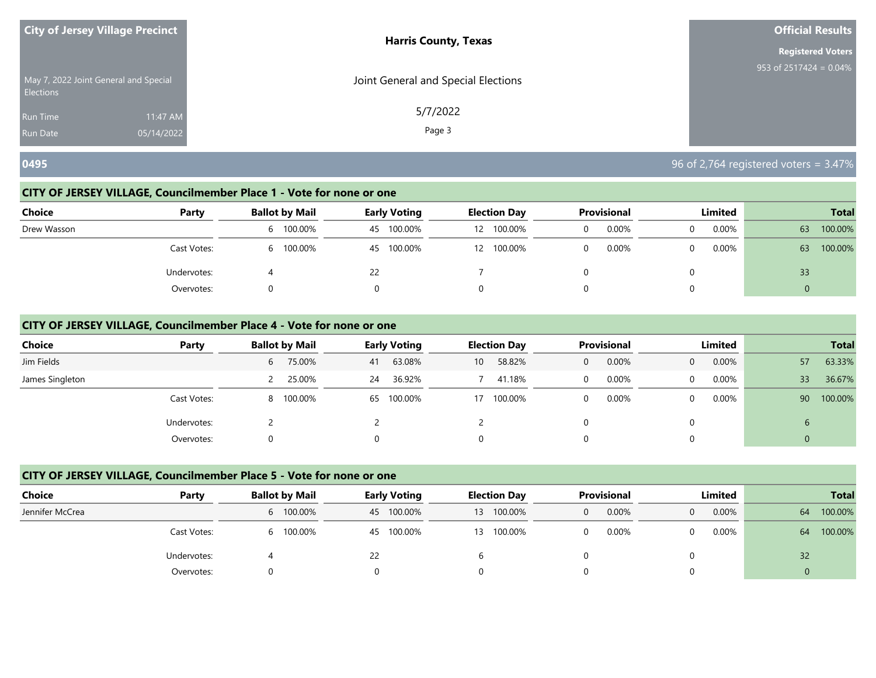|                                                           | <b>City of Jersey Village Precinct</b> | <b>Harris County, Texas</b>         | <b>Official Results</b>              |
|-----------------------------------------------------------|----------------------------------------|-------------------------------------|--------------------------------------|
|                                                           |                                        |                                     | <b>Registered Voters</b>             |
| May 7, 2022 Joint General and Special<br><b>Elections</b> |                                        | Joint General and Special Elections | 953 of $2517\overline{424} = 0.04\%$ |
| <b>Run Time</b>                                           | 11:47 AM                               | 5/7/2022                            |                                      |
| <b>Run Date</b>                                           | 05/14/2022                             | Page 3                              |                                      |

## **0495** 96 of 2,764 registered voters = 3.47%

## **CITY OF JERSEY VILLAGE, Councilmember Place 1 - Vote for none or one**

| <b>Choice</b> | Party       | <b>Ballot by Mail</b> | Early Voting  | <b>Election Day</b> | <b>Provisional</b> | Limited  | <b>Total</b>  |
|---------------|-------------|-----------------------|---------------|---------------------|--------------------|----------|---------------|
| Drew Wasson   |             | 100.00%<br>b          | 100.00%<br>45 | 100.00%<br>12       | 0.00%              | 0.00%    | 100.00%<br>63 |
|               | Cast Votes: | 100.00%<br>h.         | 100.00%<br>45 | 100.00%<br>12       | 0.00%              | $0.00\%$ | 100.00%<br>63 |
|               | Undervotes: |                       | 22            |                     |                    |          | 33            |
|               | Overvotes:  |                       | 0             |                     |                    |          | 0             |

## **CITY OF JERSEY VILLAGE, Councilmember Place 4 - Vote for none or one**

| <b>Choice</b>   | Party       | <b>Ballot by Mail</b> | <b>Early Voting</b> | <b>Election Day</b>       | <b>Provisional</b> | <b>Limited</b>    | <b>Total</b>               |
|-----------------|-------------|-----------------------|---------------------|---------------------------|--------------------|-------------------|----------------------------|
| Jim Fields      |             | 75.00%<br>6           | 63.08%<br>41        | 58.82%<br>10 <sup>°</sup> | 0.00%<br>0         | 0.00%<br>$\Omega$ | 63.33%<br>57               |
| James Singleton |             | 25.00%                | 36.92%<br>24        | 41.18%                    | 0.00%              | $0.00\%$<br>0     | 36.67%<br>33               |
|                 | Cast Votes: | 100.00%<br>8          | 65 100.00%          | 100.00%<br>17             | 0.00%              | $0.00\%$          | 100.00%<br>90 <sup>°</sup> |
|                 | Undervotes: |                       |                     |                           |                    |                   | b                          |
|                 | Overvotes:  |                       |                     | 0                         |                    | $\Omega$          | 0                          |

| <b>Choice</b>   | Party       | <b>Ballot by Mail</b> | <b>Early Voting</b> | <b>Election Day</b> | Provisional   | Limited | <b>Total</b>   |  |
|-----------------|-------------|-----------------------|---------------------|---------------------|---------------|---------|----------------|--|
| Jennifer McCrea |             | 6 100.00%             | 100.00%<br>-45      | 13 100.00%          | $0.00\%$<br>O | 0.00%   | 100.00%<br>64  |  |
|                 | Cast Votes: | 6 100.00%             | 100.00%<br>45       | 100.00%<br>13       | 0.00%         | 0.00%   | 100.00%<br>64  |  |
|                 | Undervotes: |                       | 22                  |                     |               |         | 32             |  |
|                 | Overvotes:  |                       |                     |                     |               |         | $\overline{0}$ |  |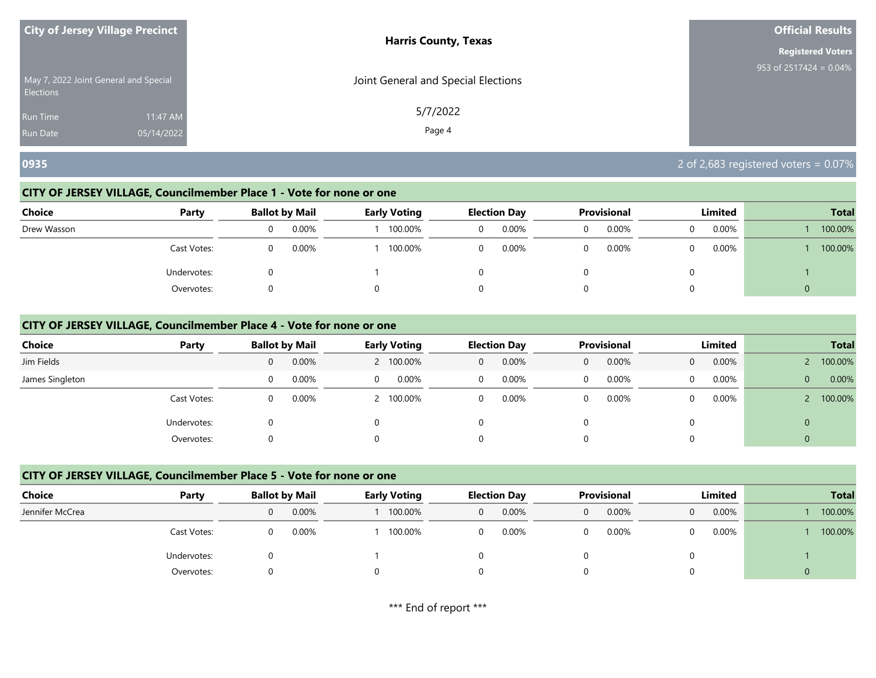| <b>City of Jersey Village Precinct</b>                    |            | <b>Harris County, Texas</b>         | <b>Official Results</b>   |
|-----------------------------------------------------------|------------|-------------------------------------|---------------------------|
|                                                           |            |                                     | <b>Registered Voters</b>  |
| May 7, 2022 Joint General and Special<br><b>Elections</b> |            | Joint General and Special Elections | 953 of $2517424 = 0.04\%$ |
| <b>Run Time</b>                                           | 11:47 AM   | 5/7/2022                            |                           |
| <b>Run Date</b>                                           | 05/14/2022 | Page 4                              |                           |

# **0935** 2 of 2,683 registered voters = 0.07%

## **CITY OF JERSEY VILLAGE, Councilmember Place 1 - Vote for none or one**

| <b>Choice</b> | Party       | <b>Ballot by Mail</b> |       | <b>Early Voting</b> |   | <b>Election Day</b> | Provisional | Limited  |       | <b>Total</b> |         |
|---------------|-------------|-----------------------|-------|---------------------|---|---------------------|-------------|----------|-------|--------------|---------|
| Drew Wasson   |             | 0                     | 0.00% | 100.00%             | 0 | 0.00%               | 0.00%       | 0        | 0.00% |              | 100.00% |
|               | Cast Votes: | $\Omega$              | 0.00% | 100.00%             | 0 | 0.00%               | 0.00%       | 0        | 0.00% |              | 100.00% |
|               | Undervotes: |                       |       |                     |   |                     |             | $\Omega$ |       |              |         |
|               | Overvotes:  |                       |       |                     |   |                     |             | 0        |       | U            |         |

## **CITY OF JERSEY VILLAGE, Councilmember Place 4 - Vote for none or one**

| <b>Choice</b>   | Party       |   | <b>Ballot by Mail</b> |   | <b>Early Voting</b> |                | <b>Election Day</b> |   | Provisional | Limited  |       | <b>Total</b>   |         |
|-----------------|-------------|---|-----------------------|---|---------------------|----------------|---------------------|---|-------------|----------|-------|----------------|---------|
| Jim Fields      |             | 0 | 0.00%                 |   | 2 100.00%           | $\overline{0}$ | 0.00%               | 0 | 0.00%       | 0        | 0.00% |                | 100.00% |
| James Singleton |             |   | 0.00%                 | 0 | $0.00\%$            | $\Omega$       | 0.00%               | 0 | $0.00\%$    | $\Omega$ | 0.00% | $\overline{0}$ | 0.00%   |
|                 | Cast Votes: |   | 0.00%                 |   | 2 100.00%           | $\Omega$       | 0.00%               | 0 | 0.00%       | $\Omega$ | 0.00% |                | 100.00% |
|                 | Undervotes: |   |                       |   |                     |                |                     | 0 |             | 0        |       | $\mathbf 0$    |         |
|                 | Overvotes:  |   |                       |   |                     |                |                     | 0 |             | 0        |       | $\Omega$       |         |

| Choice          | Party       | <b>Ballot by Mail</b> |  | <b>Early Voting</b> |          | <b>Election Day</b> | <b>Provisional</b> | Limited |          | <b>Total</b> |         |
|-----------------|-------------|-----------------------|--|---------------------|----------|---------------------|--------------------|---------|----------|--------------|---------|
| Jennifer McCrea |             | 0.00%                 |  | 100.00%             | 0        | 0.00%               | $0.00\%$           |         | 0.00%    |              | 100.00% |
|                 | Cast Votes: | 0.00%                 |  | 100.00%             | $\Omega$ | 0.00%               | 0.00%              |         | $0.00\%$ |              | 100.00% |
|                 | Undervotes: |                       |  |                     |          |                     |                    |         |          |              |         |
|                 | Overvotes:  |                       |  |                     |          |                     |                    |         |          | 0            |         |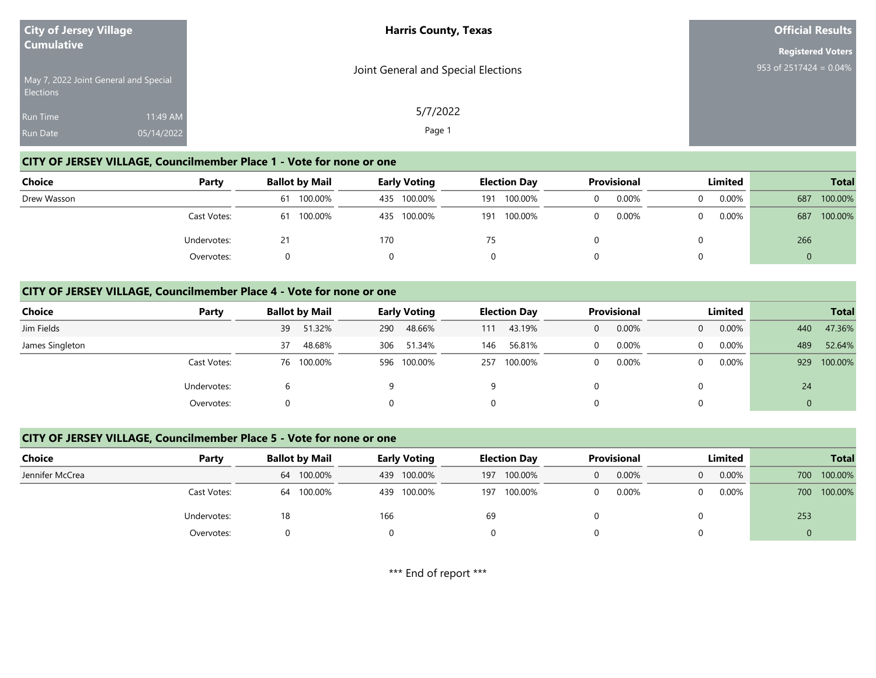| <b>City of Jersey Village</b><br><b>Cumulative</b>        |            | <b>Harris County, Texas</b>         | <b>Official Results</b>   |
|-----------------------------------------------------------|------------|-------------------------------------|---------------------------|
|                                                           |            |                                     | <b>Registered Voters</b>  |
| May 7, 2022 Joint General and Special<br><b>Elections</b> |            | Joint General and Special Elections | 953 of 2517424 = $0.04\%$ |
| <b>Run Time</b>                                           | 11:49 AM   | 5/7/2022                            |                           |
| Run Date                                                  | 05/14/2022 | Page 1                              |                           |

## **CITY OF JERSEY VILLAGE, Councilmember Place 1 - Vote for none or one**

| Choice      | Party       | <b>Ballot by Mail</b> | <b>Early Voting</b> | <b>Election Day</b> | <b>Provisional</b> | Limited  | <b>Total</b>   |
|-------------|-------------|-----------------------|---------------------|---------------------|--------------------|----------|----------------|
| Drew Wasson |             | 100.00%<br>61         | 100.00%<br>435      | 100.00%<br>191      | 0.00%              | $0.00\%$ | 100.00%<br>687 |
|             | Cast Votes: | 100.00%<br>61         | 100.00%<br>435      | 100.00%<br>191      | 0.00%              | $0.00\%$ | 100.00%<br>687 |
|             | Undervotes: | 21                    | 170                 | 75                  |                    |          | 266            |
|             | Overvotes:  |                       |                     |                     |                    |          |                |

## **CITY OF JERSEY VILLAGE, Councilmember Place 4 - Vote for none or one**

| Choice          | Party       | <b>Ballot by Mail</b> |        |     | <b>Early Voting</b> |     | <b>Election Day</b> | <b>Provisional</b> |          | Limited  |       | <b>Total</b> |         |
|-----------------|-------------|-----------------------|--------|-----|---------------------|-----|---------------------|--------------------|----------|----------|-------|--------------|---------|
| Jim Fields      |             | 39                    | 51.32% | 290 | 48.66%              | 111 | 43.19%              | $\Omega$           | 0.00%    | $\Omega$ | 0.00% | 440          | 47.36%  |
| James Singleton |             | 37                    | 48.68% | 306 | 51.34%              | 146 | 56.81%              | 0                  | $0.00\%$ | $\Omega$ | 0.00% | 489          | 52.64%  |
|                 | Cast Votes: | 76 100.00%            |        |     | 596 100.00%         |     | 257 100.00%         | 0                  | $0.00\%$ | $\Omega$ | 0.00% | 929          | 100.00% |
|                 | Undervotes: |                       |        |     |                     |     |                     |                    |          |          |       | 24           |         |
|                 | Overvotes:  |                       |        |     |                     |     |                     | 0                  |          | 0        |       | 0            |         |

## **CITY OF JERSEY VILLAGE, Councilmember Place 5 - Vote for none or one**

| Choice          | Party       | <b>Ballot by Mail</b> |            |     | <b>Early Voting</b> |     | <b>Election Day</b> | Provisional |       | Limited |       | <b>Total</b> |         |
|-----------------|-------------|-----------------------|------------|-----|---------------------|-----|---------------------|-------------|-------|---------|-------|--------------|---------|
| Jennifer McCrea |             |                       | 64 100.00% |     | 439 100.00%         | 197 | 100.00%             | $\Omega$    | 0.00% |         | 0.00% | 700          | 100.00% |
|                 | Cast Votes: |                       | 64 100.00% |     | 439 100.00%         | 197 | 100.00%             | 0           | 0.00% |         | 0.00% | 700          | 100.00% |
|                 | Undervotes: | 18                    |            | 166 |                     | 69  |                     |             |       |         |       | 253          |         |
|                 | Overvotes:  |                       |            |     |                     |     |                     |             |       |         |       |              |         |

\*\*\* End of report \*\*\*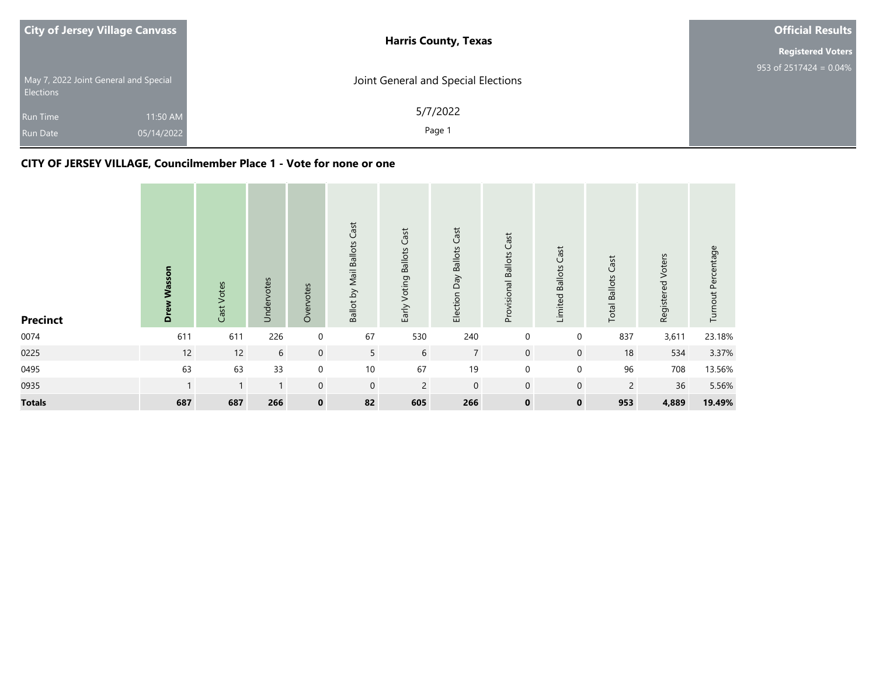| <b>City of Jersey Village Canvass</b>                     | <b>Harris County, Texas</b>         | <b>Official Results</b>   |
|-----------------------------------------------------------|-------------------------------------|---------------------------|
|                                                           |                                     | <b>Registered Voters</b>  |
| May 7, 2022 Joint General and Special<br><b>Elections</b> | Joint General and Special Elections | 953 of 2517424 = $0.04\%$ |
| 11:50 AM<br><b>Run Time</b>                               | 5/7/2022                            |                           |
| 05/14/2022<br><b>Run Date</b>                             | Page 1                              |                           |

| <b>Precinct</b> | Wasson<br>ă  | Cast Votes   | Undervotes   | Overvotes   | Ballot by Mail Ballots Cast | Early Voting Ballots Cast | Election Day Ballots Cast | Provisional Ballots Cast | Cast<br>Limited Ballots | <b>Total Ballots Cast</b> | Registered Voters | Turnout Percentage |
|-----------------|--------------|--------------|--------------|-------------|-----------------------------|---------------------------|---------------------------|--------------------------|-------------------------|---------------------------|-------------------|--------------------|
| 0074            | 611          | 611          | 226          | 0           | 67                          | 530                       | 240                       | 0                        | 0                       | 837                       | 3,611             | 23.18%             |
| 0225            | 12           | 12           | 6            | $\mathbf 0$ | 5 <sup>5</sup>              | 6                         | $\overline{7}$            | $\mathbf 0$              | $\overline{0}$          | 18                        | 534               | 3.37%              |
| 0495            | 63           | 63           | 33           | $\mathbf 0$ | $10$                        | 67                        | 19                        | $\mathbf 0$              | $\mathbf 0$             | 96                        | 708               | 13.56%             |
| 0935            | $\mathbf{1}$ | $\mathbf{1}$ | $\mathbf{1}$ | $\mathbf 0$ | $\mathbf 0$                 | $\overline{2}$            | $\mathbf 0$               | $\mathbf 0$              | $\mathbf 0$             | $\overline{2}$            | 36                | 5.56%              |
| <b>Totals</b>   | 687          | 687          | 266          | $\mathbf 0$ | 82                          | 605                       | 266                       | $\mathbf 0$              | $\mathbf 0$             | 953                       | 4,889             | 19.49%             |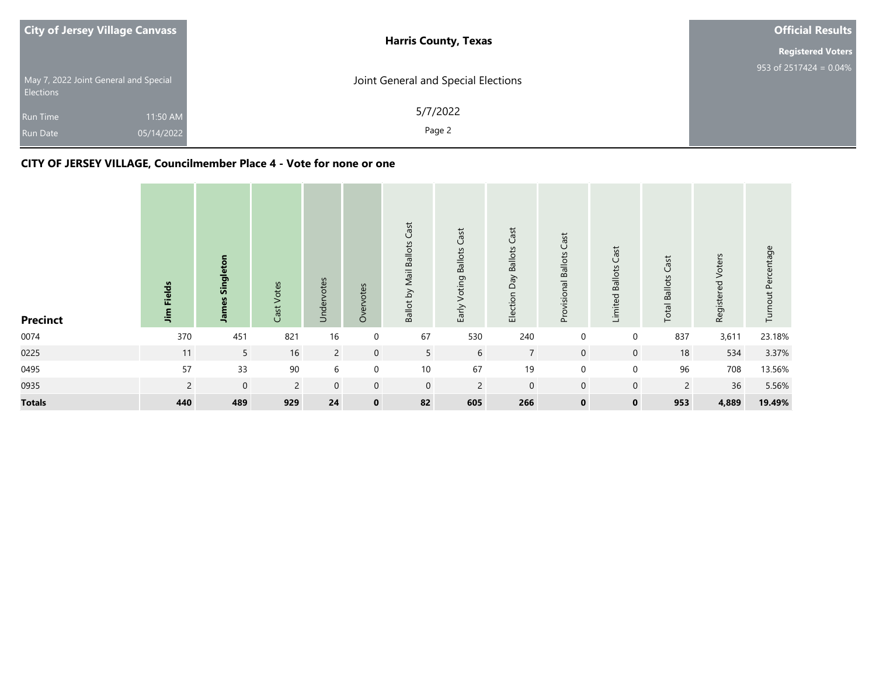| <b>City of Jersey Village Canvass</b>                     | <b>Harris County, Texas</b>         | <b>Official Results</b>   |
|-----------------------------------------------------------|-------------------------------------|---------------------------|
|                                                           |                                     | <b>Registered Voters</b>  |
| May 7, 2022 Joint General and Special<br><b>Elections</b> | Joint General and Special Elections | 953 of $2517424 = 0.04\%$ |
| 11:50 AM<br><b>Run Time</b>                               | 5/7/2022                            |                           |
| 05/14/2022<br><b>Run Date</b>                             | Page 2                              |                           |

| <b>Precinct</b> | <b>Fields</b><br>$\mathbf{f}$ | Singleton<br><b>James</b> | Cast Votes     | Undervotes     | Overvotes   | Ballot by Mail Ballots Cast | Early Voting Ballots Cast | Election Day Ballots Cast | Provisional Ballots Cast | Limited Ballots Cast | <b>Total Ballots Cast</b> | Registered Voters | Turnout Percentage |
|-----------------|-------------------------------|---------------------------|----------------|----------------|-------------|-----------------------------|---------------------------|---------------------------|--------------------------|----------------------|---------------------------|-------------------|--------------------|
| 0074            | 370                           | 451                       | 821            | $16$           | $\mathbf 0$ | 67                          | 530                       | 240                       | $\mathbf 0$              | $\mathbf 0$          | 837                       | 3,611             | 23.18%             |
| 0225            | 11                            | 5 <sup>5</sup>            | 16             | $\overline{2}$ | $\mathbf 0$ | 5                           | 6                         | $\overline{7}$            | $\mathbf 0$              | $\mathbf 0$          | 18                        | 534               | 3.37%              |
| 0495            | 57                            | 33                        | $90\,$         | 6              | $\mathbf 0$ | 10                          | 67                        | 19                        | $\mathbf 0$              | $\mathbf 0$          | 96                        | 708               | 13.56%             |
| 0935            | $\overline{2}$                | $\mathbf 0$               | $\overline{2}$ | $\mathbf 0$    | $\mathbf 0$ | $\mathbf 0$                 | $\overline{2}$            | $\boldsymbol{0}$          | $\mathbf 0$              | $\mathbf 0$          | $\overline{2}$            | 36                | 5.56%              |
| <b>Totals</b>   | 440                           | 489                       | 929            | 24             | $\mathbf 0$ | 82                          | 605                       | 266                       | $\mathbf 0$              | $\mathbf 0$          | 953                       | 4,889             | 19.49%             |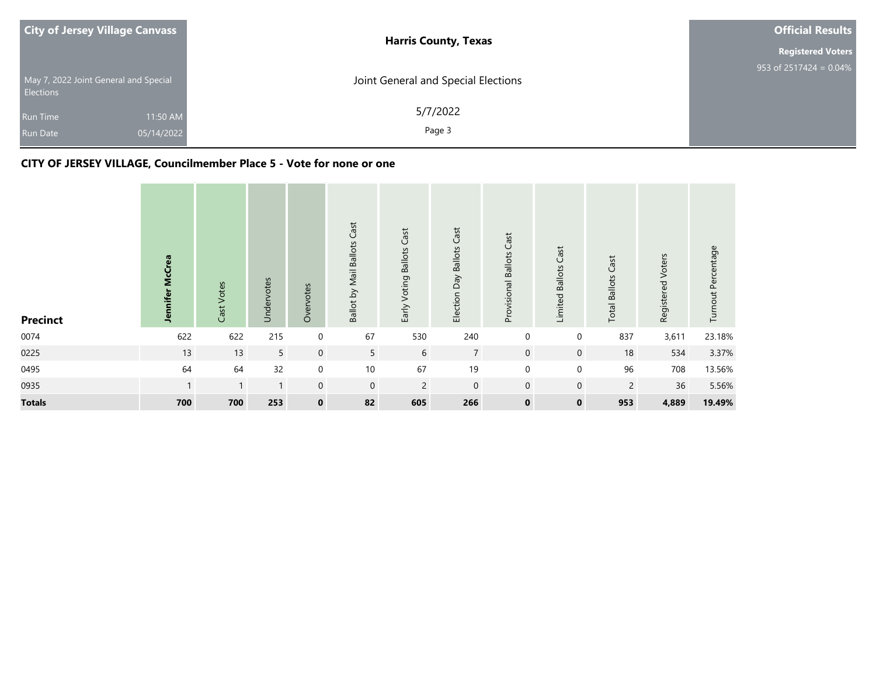| <b>City of Jersey Village Canvass</b>                     | <b>Harris County, Texas</b>         | <b>Official Results</b>              |
|-----------------------------------------------------------|-------------------------------------|--------------------------------------|
|                                                           |                                     | <b>Registered Voters</b>             |
| May 7, 2022 Joint General and Special<br><b>Elections</b> | Joint General and Special Elections | 953 of $2517\overline{424} = 0.04\%$ |
| <b>Run Time</b>                                           | 5/7/2022<br>11:50 AM                |                                      |
| 05/14/2022<br><b>Run Date</b>                             | Page 3                              |                                      |

| <b>Precinct</b> | <b>McCrea</b><br><b>Jennifer</b> | Cast Votes   | Undervotes   | Overvotes        | Ballot by Mail Ballots Cast | Early Voting Ballots Cast | Election Day Ballots Cast | Provisional Ballots Cast | Cast<br>Limited Ballots | <b>Total Ballots Cast</b> | Registered Voters | Turnout Percentage |
|-----------------|----------------------------------|--------------|--------------|------------------|-----------------------------|---------------------------|---------------------------|--------------------------|-------------------------|---------------------------|-------------------|--------------------|
| 0074            | 622                              | 622          | 215          | $\mathbf 0$      | 67                          | 530                       | 240                       | $\mathbf 0$              | 0                       | 837                       | 3,611             | 23.18%             |
| 0225            | 13                               | 13           | 5            | $\mathbf 0$      | $5\overline{)}$             | 6                         | $\overline{7}$            | $\mathbf 0$              | $\mathbf 0$             | 18                        | 534               | 3.37%              |
| 0495            | 64                               | 64           | 32           | $\mathbf 0$      | $10$                        | 67                        | 19                        | $\mathbf 0$              | $\mathbf 0$             | 96                        | 708               | 13.56%             |
| 0935            |                                  | $\mathbf{1}$ | $\mathbf{1}$ | $\boldsymbol{0}$ | $\mathbf 0$                 | $\overline{2}$            | $\boldsymbol{0}$          | $\mathbf 0$              | $\mathbf 0$             | $\overline{2}$            | 36                | 5.56%              |
| <b>Totals</b>   | 700                              | 700          | 253          | $\mathbf 0$      | 82                          | 605                       | 266                       | $\mathbf 0$              | $\mathbf 0$             | 953                       | 4,889             | 19.49%             |